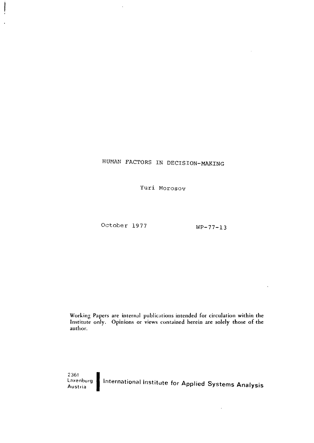HUMAN FACTORS IN DECISION-MAKING

Yuri Morosov

October 1977 **WP-77-13** 

 $\ddot{\phantom{a}}$ 

ļ

 $\hat{\mathcal{L}}$ 

 $\sim$ 

 $\ddot{\phantom{a}}$ 

Working Papers are internal publications intended for circulation within the Institute onJy. Opinions or views contained herein are solely those of the author.

2361<br>Laxenburg International Institute for Applied Systems Analysis<br>Austria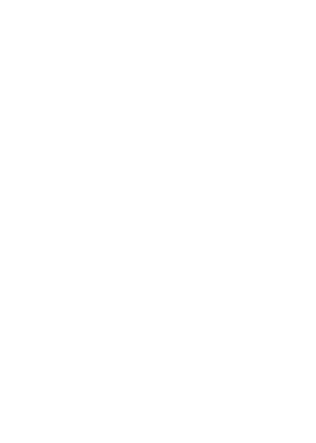$\epsilon$  $\star$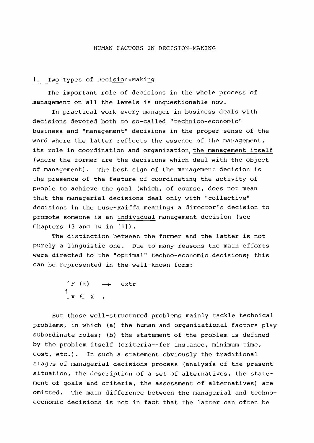#### HUMAN FACTORS IN DECISION-MAKING

#### 1. Two Types of Decision-Making

The important role of decisions in the whole process of management on all the levels is unquestionable now.

In practical work every manager in business deals with decisions devoted both to so-called "technico-economic" business and ",management" decisions in the proper sense of the word where the latter reflects the essence of the management, its role in coordination and organization, the management itself (where the former are the decisions which deal with the object of management). The best sign of the management decision is the presence of the feature of coordinating the activity of people to achieve the goal (which, of course, does not mean that the managerial decisions deal only with "collective" decisions in the Luse-Raiffa meaning; a director's decision to promote someone is an individual management decision (see Chapters 13 and 14 in [1]).

The distinction between the former and the latter is not purely <sup>a</sup> linguistic one. Due to many reasons the main efforts were directed to the "optimal" techno-economic decisions; this can be represented in the well-known form:

$$
\begin{cases} F(x) & \to & \text{extr} \\ x \in X \end{cases}
$$

But those well-structured problems mainly tackle technical problems, in which (a) the human and organizational factors play subordinate roles; (b) the statement of the problem is defined by the problem itself (criteria--for instance, minimum time, cost, etc.). In such <sup>a</sup> statement obviously the traditional stages of managerial decisions process (analysis of the present situation, the description of <sup>a</sup> set of alternatives, the statement of goals and criteria, the assessment of alternatives) are omitted. The main difference between the managerial and technoeconomic decisions is not in fact that the latter can often be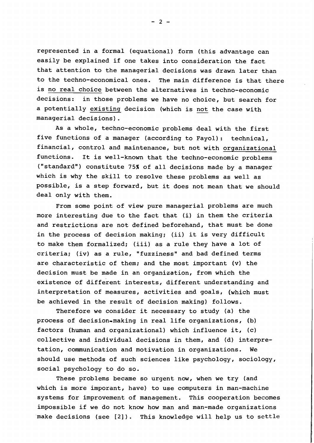represented in a formal (equational) form (this advantage can easily be explained if one takes into consideration the fact that attention to the managerial decisions was drawn later than to the techno-economical ones. The main difference is that there is no real choice between the alternatives in techno-economic decisions: in those problems we have no choice, but search for a potentially existing decision (which is not the case with managerial decisions).

As <sup>a</sup> whole, techno-economic problems deal with the first five functions of a manager (according to Fayol): technical, financial, control and maintenance, but not with organizational functions. It is well-known that the techno-economic problems ("standard") constitute 75% of all decisions made by <sup>a</sup> manager which is why the skill to resolve these problems as well as possible, is <sup>a</sup> step forward, but it does not mean that we should deal only with them.

From some point of view pure managerial problems are much more interesting due to the fact that (i) in them the criteria and restrictions are not defined beforehand, that must be done in the process of decision making; (ii) it is very difficult to make them formalized; (iii) as <sup>a</sup> rule they have <sup>a</sup> lot of criteria; (iv) as <sup>a</sup> rule, "fuzziness" and bad defined terms are characteristic of them; and the most important (v) the decision must be made in an organization, from which the existence of different interests, different understanding and interpretation of measures, activities and goals, (which must be achieved in the result of decision making) follows.

Therefore we consider it necessary to study (a) the process of decision-making in real life organizations, (b) factors (human and organizational) which influence it, (c) collective and individual decisions in them, and (d) interpretation, communication and motivation in organizations. We should use methods of such sciences like psychology, sociology, social psychology to do so.

These problems became so urgent now, when we try (and which is more imporant, have) to use computers in man-machine systems for improvement of management. This cooperation becomes impossible if we do not know how man and man-made organizations make decisions (see [2]). This knowledge will help us to settle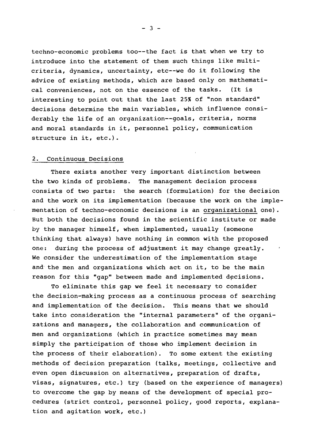techno-economic problems too--the fact is that when we try to introduce into the statement of them such things like multicriteria, dynamics, uncertainty, etc--we do it following the advice of existing methods, which are based only on mathematical conveniences, not on the essence of the tasks. (It is interesting to point out that the last 25% of "non standard" decisions determine the main variables, which influence considerably the life of an organization--goals, criteria, norms and moral standards in it, personnel policy, communication structure in it, etc.).

### 2. Continuous Decisions

There exists another very important distinction between the two kinds of problems. The management decision process consists of two parts: the search (formulation) for the decision and the work on its implementation (because the work on the implementation of techno-economic decisions is an organizational one). But both the decisions found in the scientific institute or made by the manager himself, when implemented, usually (someone thinking that always) have nothing in common with the proposed one: during the process of adjustment it may change greatly. We consider the underestimation of the implementation stage and' the men and organizations which act on it, to be the main reason for this "gap" between made and implemented decisions.

To eliminate this gap we feel it necessary to consider the decision-making process as a continuous process of searching and implementation of the decision. This means that we should take into consideration the "internal parameters" of the organizations and managers, the collaboration and communication of men and organizations (which in practice sometimes may mean simply the participation of those who implement decision in the process of their elaboration). To some extent the existing methods of decision preparation (talks, meetings, collective and even open discussion on alternatives, preparation of drafts, visas, signatures, etc.) try (based on the experience of managers) to overcome the gap by means of the development of special procedures (strict control, personnel policy, good reports, explanation and agitation work, etc.)

 $- 3 -$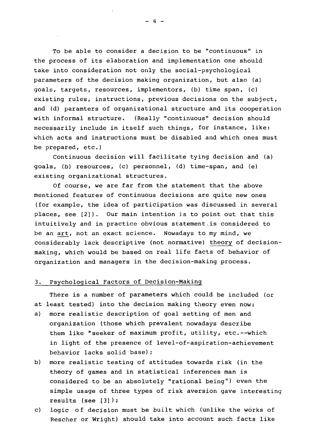To be able to consider a decision to be "continuous" in the process of its elaboration and implementation one should take into consideration not only the social-psychological parameters of the decision making organization, but also (a) goals, targets, resources, implementors, (b) time span, (c) existing rules, instructions, previous decisions on the subject, and (d) paramters of organizational structure and its cooperation with informal structure. (Really "continuous" decision should necessarily include in itself such things, for instance, like: which acts and instructions must be disabled and which ones must be prepared, etc.)

Continuous decision will facilitate tying decision and (a) goals, (b) resources, (c) personnel, (d) time-span, and (e) existing organizational structures.

Of course, we are far from the statement that the above mentioned features of continuous decisions are quite new ones (for example, the idea of participation was discussed in several places, see [2]). Our main intention is to point out that this intuitively and in practice obvious statement, is considered to be an art, not an exact science. Nowadays to my mind, we considerably lack descriptive (not normative) theory of decisionmaking, which would be based on real life facts of behavior of organization and managers in the decision-making process.

# 3. Psychological Factors of Decision-Making

There is <sup>a</sup> number of parameters which could be included (or at least tested) into the decision making theory even now:

- a) more realistic description of goal setting of men and organization (those which prevalent nowadays describe them like "seeker of maximum profit, utility, etc.--which in light of the presence of level-of-aspiration-aehievement behavior lacks solid base);
- b) more realistic testing of attitudes towards risk (in the theory of games and in statistical inferences man ig considered to be an absolutely "rational being") even the simple usage of three types of risk aversion gave interesting results (see [3]);
- c) logic of decision must be built which (unlike the works of Rescher or Wright) should take into account such facts like

- 4 -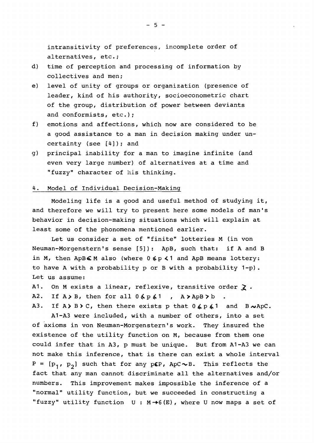intransitivity of preferences, incomplete order of alternatives, etc.;

- d) time of perception and processing of information by collectives and men;
- e) level of unity of groups or organization (presence of leader, kind of his authority, socioeconometric chart of the group, distribution of power between deviants and conformists, etc.);
- f) emotions and affections, which now are considered to be a good assistance to a man in decision making under uncertainty (see [4]); and
- g) principal inability for <sup>a</sup> man to imagine infinite (and even very large number) of alternatives at <sup>a</sup> time and "fuzzy" character of his thinking.

# 4. Model of Individual Decision-Making

Modeling life is <sup>a</sup> good and useful method of studying it, and therefore we will try to present here some models of man's behavior in decision-making situations which will explain at least some of the phonomena mentioned earlier.

Let us consider a set of "finite" lotteries M (in von Neuman-Morgenstern's sense [5]): ApB, such that: if <sup>A</sup> and <sup>B</sup> in M, then ApB $\epsilon$ M also (where  $0 \leq p \leq 1$  and ApB means lottery: to have A with a probability p or B with a probability 1-p). Let us assume:

- A1. On M exists a linear, reflexive, transitive order  $\gimel$  .
- A2. If  $A > B$ , then for all  $0 \le p \le 1$ ,  $A > A p B > b$

A3. If A> B> C, then there exists p that  $0 \leqslant p \leqslant 1$  and  $B \sim A p C$ .

A1-A3 were included, with <sup>a</sup> number of others, into <sup>a</sup> set of axioms in von Neuman-Morgenstern's work. They insured the existence of the utility function on M, because from them one could infer that in A3, <sup>p</sup> must be unique. But from A1-A3 we can not make this inference, that is there can exist <sup>a</sup> whole interval  $P = [p_1, p_2]$  such that for any p $\epsilon P$ , ApC $\sim$ B. This reflects the fact that any man cannot discriminate all the alternatives and/or numbers. This improvement makes impossible the inference of a "normal" utility function, but we succeeded in constructing a "fuzzy" utility function  $U : M \rightarrow 6(E)$ , where U now maps a set of

 $- 5 -$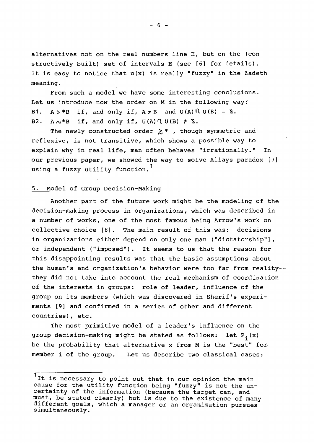alternatives not on the real numbers line E, but on the (constructively built) set of intervals <sup>E</sup> (see [6] for details) . It is easy to notice that u(x) is really "fuzzy" in the Zadeth meaning.

From such a model we have some interesting conclusions. Let us introduce now the order on M in the following way: B1. A  $>$  \*B if, and only if, A  $>$  B and U(A)  $\theta$  U(B) =  $\theta$ . B2. A  $\sim$ \*B if, and only if, U(A)  $\cap$  U(B)  $\neq \infty$ .

The newly constructed order  $\geq$  \* , though symmetric and reflexive, is not transitive, which shows <sup>a</sup> possible way to explain why in real life, man often behaves "irrationally." In our previous paper, we showed the way to solve Allays paradox [7] using a fuzzy utility function.<sup>1</sup>

# 5. Model of Group Decision-Making

Another part of the future work might be the modeling of the decision-making process in organizations, which was described in a number of works, one of the most famous being Arrow's work on collective choice [8]. The main result of this was: decisions in organizations either depend on only one man ("dictatorship"], or independent ("imposed"). It seems to us that the reason for this disappointing results was that the basic assumptions about the human's and organization's behavior were too far from reality- they did not take into account the real mechanism of coordination of the interests in groups: role of leader, influence of the group on its members (which was discovered in Sherif's experiments [9] and confirmed in <sup>a</sup> series of other and different countries), etc.

The most primitive model of a leader's influence on the group decision-making might be stated as follows: let  $P_i(x)$ be the probability that alternative <sup>x</sup> from <sup>M</sup> is the "best" for member <sup>i</sup> of the group. Let us describe two classical cases:

It is necessary to point out that in our opinion the main cause for the utility function being "fuzzy" is not the uncertainty of the information (because the target can, and must, be stated clearly) but is due to the existence of many different goals, which a manager or an organization pursues simultaneously.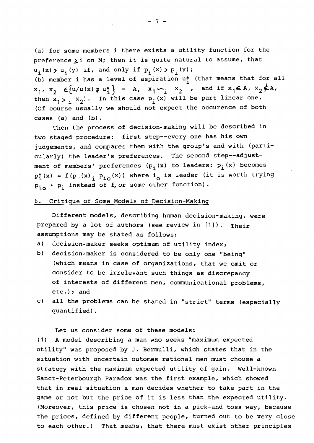(a) for some members i there exists a utility function for the preference  $\geq i$  on M; then it is quite natural to assume, that  $u_i(x)$   $>$   $u_i(y)$  if, and only if  $p_i(x)$   $>$   $p_i(y)$ ; (b) member i has a level of aspiration  $u_{1}^{*}$  (that means that for all  $x_1, x_2 \in \{u/u(x) \ge u_1^*\} = A, x_1 x_1 x_2, \text{ and if } x_1 \in A, x_2 \neq A,$ then  $x_1 > i x_2$ . In this case  $p_i(x)$  will be part linear one. {Of course usually we should not expect the occurence of both cases (a) and (b).

Then the process of decision-making will be described in two staged procedure: first step--every one has his own judgements, and compares them with the group's and with (particularly) the leader's preferences. The second step--adjustment of members' preferences  $(p_i(x))$  to leaders:  $p_i(x)$  becomes  $p_1^*(x) = f(p_1(x))$   $p_{io}(x)$  where  $i_o$  is leader (it is worth trying Pio • Pi instead of f, or some other function).

### 6. Critique of Some Models of Decision-Making

Different models, describing human decision-making, were prepared by a lot of authors (see review in [1]). Their assumptions may be stated as follows:

- a) decision-maker seeks optimum of utility index;
- b) decision-maker is considered to be only one "being" (which means in case of organizations, that we omit or consider to be irrelevant such things as discrepancy of interests of different men, communicational problems, etc.); and
- c) all the problems can be stated in "strict" terms (especially quantified) .

Let us consider some of these models:

(1) A model describing a man who seeks "max imum expected utility" was proposed by J. Bermulli, which states that in the situation with uncertain outomes rational men must choose a strategy with the maximum expected utility of gain. Well-known Sanct-Peterbourgh Paradox was the first example, which showed that in real situation <sup>a</sup> man decides whether to take part in the game or not but the price of it is less than the expected utility. (Moreover, this price is chosen not in <sup>a</sup> pick-and-toss way, because the prices, defined by different people, turned out to be very close to each other.) That means, that there must exist other principles

 $- 7 -$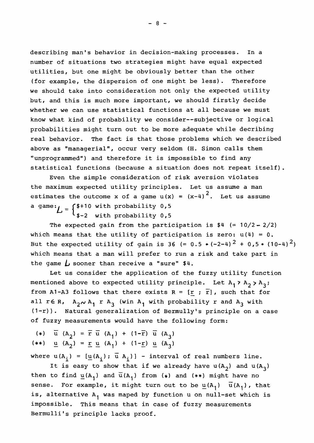describing man's behavior in decision-making processes. In a number of situations two strategies might have equal expected utilities, but one might be obviously better than the other (for example, the dispersion of one might be less). Therefore we should take into consideration not only the expected utility but, and this is much more important, we should firstly decide whether we can use statistical functions at all because we must know what kind of probability we consider--subjective or logical probabilities might turn out to be more adequate while decribing real behavior. The fact is that those problems which we described above as "managerial", occur very seldom (H. Simon calls them "unprogrammed") and therefore it is impossible to find any statistical functions (because <sup>a</sup> situation does not repeat itself).

Even the simple consideration of risk aversion violates the maximum expected utility principles. Let us assume <sup>a</sup> man estimates the outcome x of a game  $u(x) = (x-4)^2$ . Let us assume a game: $L_{\perp} =$   $\int$ \$+10 with probability 0,5

$$
\begin{array}{c}\n \downarrow \uparrow -2 \quad \text{with probability } 0.5\n \end{array}
$$

The expected gain from the participation is  $$4$  (=  $10/2 - 2/2$ ) which means that the utility of participation is zero:  $u(4) = 0$ . But the expected utility of gain is 36 (=  $0.5 \cdot (-2-4)^2 + 0.5 \cdot (10-4)^2$ ) which means that <sup>a</sup> man will prefer to run <sup>a</sup> risk and take part in the game *L* sooner than receive <sup>a</sup> "sure" \$4.

Let us consider the application of the fuzzy utility function mentioned above to expected utility principle. Let  $A_1 > A_2 > A_3$ ; from A1-A3 follows that there exists R =  $[\underline{r}$  ;  $\overline{r}]$ , such that for all r $\in$  R, A<sub>2</sub>NA<sub>1</sub> r A<sub>3</sub> (win A<sub>1</sub> with probability r and A<sub>3</sub> with (1-r)). Natural generalization of Bermully's principle on <sup>a</sup> case of fuzzy measurements would have the following form:

(\*) 
$$
\bar{u} (A_2) = \bar{r} \bar{u} (A_1) + (1-\bar{r}) \bar{u} (A_3)
$$
  
\n(\*\*)  $\underline{u} (A_2) = \underline{r} \underline{u} (A_1) + (1-\underline{r}) \underline{u} (A_3)$ 

where  $u(A_i) = [\underline{u}(A_i); \overline{u}A_i)]$  - interval of real numbers line.

It is easy to show that if we already have  $u(A_2)$  and  $u(A_3)$ then to find  $u(A<sub>1</sub>)$  and  $\overline{u}(A<sub>1</sub>)$  from (\*) and (\*\*) might have no</u> sense. For example, it might turn out to be  $\underline{u}(A_1)$   $\overline{u}(A_1)$ , that is, alternative  $A_1$  was maped by function u on null-set which is impossible. This means that in case of fuzzy measurements Bermulli's principle lacks proof.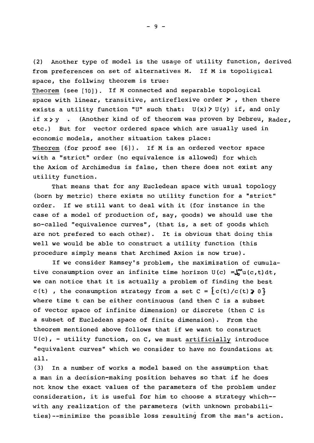(2) Another type of model is the usage of utility function, derived from preferences on set of alternatives M. If <sup>M</sup> is topoligical space, the follwing theorem is true:

Theorem (see [10]). If <sup>M</sup> connected and separable topological space with linear, transitive, antireflexive order  $\triangleright$  , then there exists a utility function "U" such that:  $U(x) > U(y)$  if, and only if  $x \ge y$  . (Another kind of of theorem was proven by Debreu, Rader, etc.) But for vector ordered space which are usually used in economic models, another situation takes place: Theorem (for proof see [6]). If <sup>M</sup> is an ordered vector space with <sup>a</sup> "strict" order (no equivalence is allowed) for which the Axiom of Archimedus is false, then there does not exist any utility function.

That means that for any Eucledean space with usual topology (born by metric) there exists no utility function for <sup>a</sup> "strict" order. If we still want to deal with it (for instance in the case of a model of production of, say, goods) we should use the so-called "equivalence curves", (that is, <sup>a</sup> set of goods which are not prefered to each other). It is obvious that doing this well we would be able to construct <sup>a</sup> utility function (this procedure simply means that Archimed Axion is now true).

If we consider Ramsey's problem, the maximization of cumulative consumption over an infinite time horizon  $U(c) = \int_{c}^{\infty} u(c, t) dt$ , we can notice that it is actually <sup>a</sup> problem of finding the best c(t), the consumption strategy from a set  $C = \{c(t) / c(t) \ge 0\}$ where time <sup>t</sup> can be either continuous (and then <sup>C</sup> is <sup>a</sup> subset of vector space of infinite dimension) or discrete (then <sup>C</sup> is <sup>a</sup> subset of Eucledean space of finite dimension). From the theorem mentioned above follows that if we want to construct U(c), - utility function, on C, we must artificially introduce "equivalent curves" which we consider to have no foundations at all.

(3) In <sup>a</sup> number of works <sup>a</sup> model based on the assumption that <sup>a</sup> man in <sup>a</sup> decision-making position behaves so that if he does not know the exact values of the parameters of the problem under consideration, it is useful for him to choose <sup>a</sup> strategy which- with any realization of the parameters (with unknown probabilities)--minimize the possible loss resulting from the man"s action.

 $-9 -$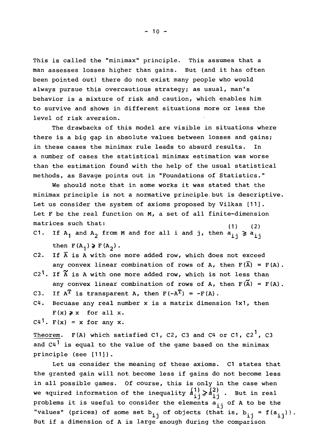This is called the "minimax" principle. This assumes that a man assesses losses higher than gains. But (and it has often been pointed out) there do not exist many people who would always pursue this overcautious strategy; as usual, man's behavior is <sup>a</sup> mixture of risk and caution, which enables him to survive and shows in different situations more or less the level of risk aversion.

The drawbacks of this model are visible in situations where there is a big gap in absolute values between losses and gains; in these cases the minimax rule leads to absurd results. In <sup>a</sup> number of cases the statistical minimax estimation was worse than the estimation found with the help of the usual statistical methods, as Savage points out in "Foundations of Statistics."

We should note that in some works it was stated that the minimax principle is not <sup>a</sup> normative principle, but is descriptive. Let us consider the system of axioms proposed by Vilkas [11]. Let <sup>F</sup> be the real function on M, <sup>a</sup> set of all finite-dimension matrices such that:  $(1)$   $(2)$ 

- C1. If A<sub>1</sub> and A<sub>2</sub> from M and for all i and j, then  $a_{i,j} \ge a_{i,j}$ then  $F(A_1) \geq F(A_2)$ .
- C2. If  $\overline{A}$  is A with one more added row, which does not exceed any convex linear combination of rows of A, then  $F(\overline{A}) = F(A)$ .
- $C2<sup>1</sup>$ . If  $\widetilde{A}$  is A with one more added row, which is not less than any convex linear combination of rows of A, then  $F(\tilde{A}) = F(A)$ .
- C3. If  $A^T$  is transparent A, then  $F(-A^T) = -F(A)$ .
- C4. Becuase any real number <sup>x</sup> is <sup>a</sup> matrix dimension 1x1, then  $F(x) \geq x$  for all x.
- $C4^{1}$ .  $F(x) = x$  for any x.

Theorem. F(A) which satisfied C1, C2, C3 and C4 or C1, C2<sup>1</sup>, C3 and  $C4<sup>1</sup>$  is equal to the value of the game based on the minimax principle (see [11]).

is,  $b_{ij} = f(a_{ij})$ ). comparison But if <sup>a</sup> dimension of <sup>A</sup> is large enough during theLet us consider the meaning of these axioms. C1 states that the granted gain will not become less if gains do not become less in all possible games. Of course, this is only in the case when we aquired information of the inequality  ${1) \choose 1j} \geqslant {2 \choose 1j}$  . But in real problems it is useful to consider the elements  $a_{ij}$  of A to be the "values" (prices) of some set  $b_{ij}$  of objects (that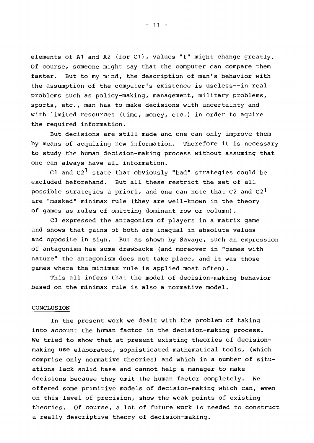elements of A1 and A2 (for C1), values "f" might change greatly. Of course, someone might say that the computer can compare them faster. But to my mind, the description of man's behavior with the assumption of the computer's existence is useless--in real problems such as policy-making, management, military problems, sports, etc., man has to make decisions with uncertainty and with limited resources (time, money, etc.) in order to aquire the required information.

But decisions are still made and one can only improve them by means of acquiring new information. Therefore it is necessary to study the human decision-making process without assuming that one can always have all information.

C1 and  $c2^1$  state that obviously "bad" strategies could be excluded beforehand. But all these restrict the set of all possible strategies a priori, and one can note that  $C2$  and  $C2<sup>1</sup>$ are "masked" minimax rule (they are well-known in the theory of games as rules of omitting dominant row or column).

C3 expressed the antagonism of players in a matrix game and shows that gains of both are inequal in absolute values and opposite in sign. But as shown by Savage, such an expression of antagonism has some drawbacks (and moreover in "games with nature" the antagonism does not take place, and it was those games where the minimax rule is applied most often) .

This all infers that the model of decision-making behavior based on the minimax rule is also <sup>a</sup> normative model.

# CONCLUSION

In the present work we dealt with the problem of taking into account the human factor in the decision-making process. We tried to show that at present existing theories of decisionmaking use elaborated, sophisticated mathematical tools, (which comprise only normative theories) and which in <sup>a</sup> number of situations lack solid base and cannot help a manager to make decisions because they omit the human factor completely. We offered some primitive models of decision-making which can, even on this level of precision, show the weak points of existing theories. Of course, <sup>a</sup> lot of future work is needed to construct <sup>a</sup> really descriptive theory of decision-making.